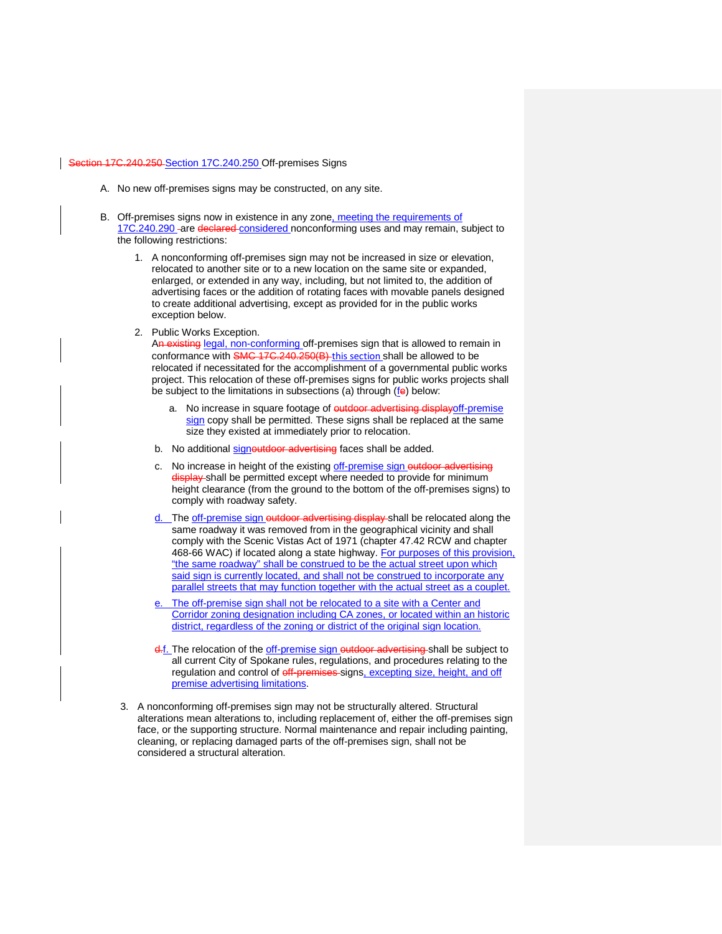## [Section 17C.240.250](https://my.spokanecity.org/smc/?Section=17C.240.250)-Section 17C.240.250 Off-premises Signs

- A. No new off-premises signs may be constructed, on any site.
- B. Off-premises signs now in existence in any zone, meeting the requirements of 17C.240.290 - are declared considered nonconforming uses and may remain, subject to the following restrictions:
	- 1. A nonconforming off-premises sign may not be increased in size or elevation, relocated to another site or to a new location on the same site or expanded, enlarged, or extended in any way, including, but not limited to, the addition of advertising faces or the addition of rotating faces with movable panels designed to create additional advertising, except as provided for in the public works exception below.
	- 2. Public Works Exception.

An existing legal, non-conforming off-premises sign that is allowed to remain in conformance with SMC 17C.240.250(B) this section shall be allowed to be relocated if necessitated for the accomplishment of a governmental public works project. This relocation of these off-premises signs for public works projects shall be subject to the limitations in subsections (a) through (fe) below:

- a. No increase in square footage of outdoor advertising display off-premise sign copy shall be permitted. These signs shall be replaced at the same size they existed at immediately prior to relocation.
- b. No additional signoutdoor advertising faces shall be added.
- c. No increase in height of the existing off-premise sign outdoor advertising display shall be permitted except where needed to provide for minimum height clearance (from the ground to the bottom of the off-premises signs) to comply with roadway safety.
- d. The off-premise sign outdoor advertising display shall be relocated along the same roadway it was removed from in the geographical vicinity and shall comply with the Scenic Vistas Act of 1971 (chapter 47.42 RCW and chapter 468-66 WAC) if located along a state highway. For purposes of this provision, "the same roadway" shall be construed to be the actual street upon which said sign is currently located, and shall not be construed to incorporate any parallel streets that may function together with the actual street as a couplet.
- e. The off-premise sign shall not be relocated to a site with a Center and Corridor zoning designation including CA zones, or located within an historic district, regardless of the zoning or district of the original sign location.
- d.f. The relocation of the off-premise sign outdoor advertising shall be subject to all current City of Spokane rules, regulations, and procedures relating to the regulation and control of off-premises-signs, excepting size, height, and off premise advertising limitations.
- 3. A nonconforming off-premises sign may not be structurally altered. Structural alterations mean alterations to, including replacement of, either the off-premises sign face, or the supporting structure. Normal maintenance and repair including painting, cleaning, or replacing damaged parts of the off-premises sign, shall not be considered a structural alteration.